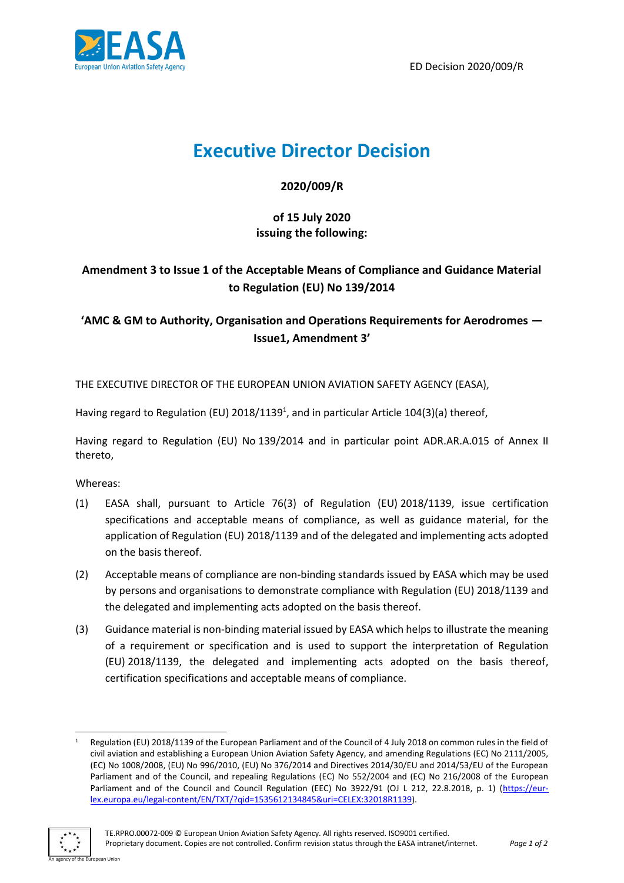



# **Executive Director Decision**

**2020/009/R**

### **of 15 July 2020 issuing the following:**

## **Amendment 3 to Issue 1 of the Acceptable Means of Compliance and Guidance Material to Regulation (EU) No 139/2014**

## **'AMC & GM to Authority, Organisation and Operations Requirements for Aerodromes — Issue1, Amendment 3'**

THE EXECUTIVE DIRECTOR OF THE EUROPEAN UNION AVIATION SAFETY AGENCY (EASA),

Having regard to Regulation (EU) 2018/1139<sup>1</sup>, and in particular Article 104(3)(a) thereof,

Having regard to Regulation (EU) No 139/2014 and in particular point ADR.AR.A.015 of Annex II thereto,

Whereas:

- (1) EASA shall, pursuant to Article 76(3) of Regulation (EU) 2018/1139, issue certification specifications and acceptable means of compliance, as well as guidance material, for the application of Regulation (EU) 2018/1139 and of the delegated and implementing acts adopted on the basis thereof.
- (2) Acceptable means of compliance are non-binding standards issued by EASA which may be used by persons and organisations to demonstrate compliance with Regulation (EU) 2018/1139 and the delegated and implementing acts adopted on the basis thereof.
- (3) Guidance material is non-binding material issued by EASA which helps to illustrate the meaning of a requirement or specification and is used to support the interpretation of Regulation (EU) 2018/1139, the delegated and implementing acts adopted on the basis thereof, certification specifications and acceptable means of compliance.

Regulation (EU) 2018/1139 of the European Parliament and of the Council of 4 July 2018 on common rules in the field of civil aviation and establishing a European Union Aviation Safety Agency, and amending Regulations (EC) No 2111/2005, (EC) No 1008/2008, (EU) No 996/2010, (EU) No 376/2014 and Directives 2014/30/EU and 2014/53/EU of the European Parliament and of the Council, and repealing Regulations (EC) No 552/2004 and (EC) No 216/2008 of the European Parliament and of the Council and Council Regulation (EEC) No 3922/91 (OJ L 212, 22.8.2018, p. 1) [\(https://eur](https://eur-lex.europa.eu/legal-content/EN/TXT/?qid=1535612134845&uri=CELEX:32018R1139)[lex.europa.eu/legal-content/EN/TXT/?qid=1535612134845&uri=CELEX:32018R1139\)](https://eur-lex.europa.eu/legal-content/EN/TXT/?qid=1535612134845&uri=CELEX:32018R1139).